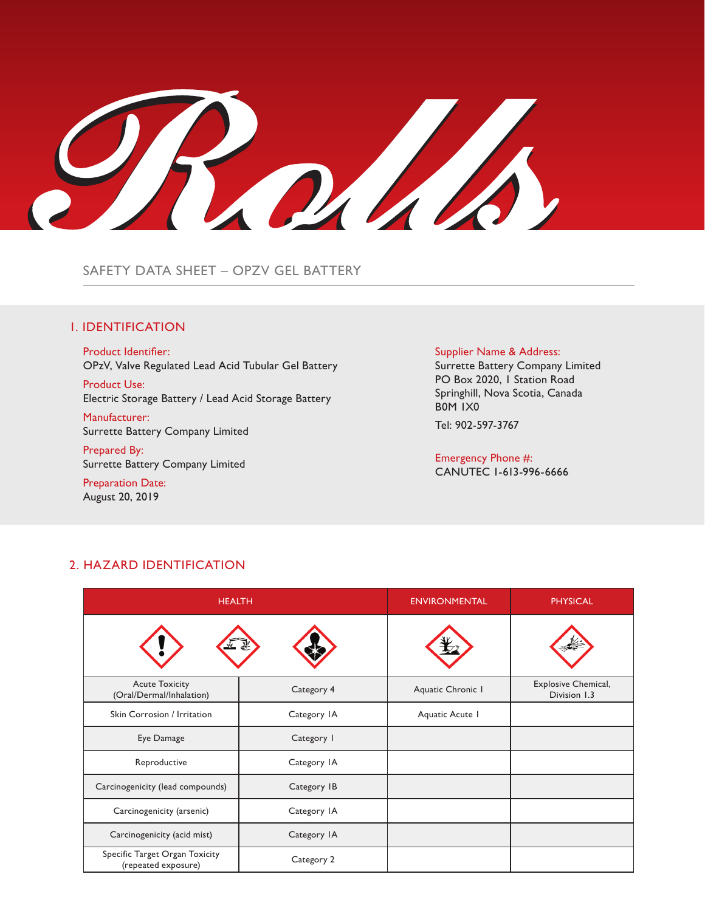LOIA

SAFETY DATA SHEET – OPZV GEL BATTERY

# 1. IDENTIFICATION

Product Identifier: OPzV, Valve Regulated Lead Acid Tubular Gel Battery

Product Use: Electric Storage Battery / Lead Acid Storage Battery

Manufacturer: Surrette Battery Company Limited

Prepared By: Surrette Battery Company Limited

Preparation Date: August 20, 2019

#### Supplier Name & Address:

Surrette Battery Company Limited PO Box 2020, I Station Road Springhill, Nova Scotia, Canada B0M 1X0

Tel: 902-597-3767

Emergency Phone #: CANUTEC 1-613-996-6666

# 2. HAZARD IDENTIFICATION

| <b>HEALTH</b>                                         |             | <b>ENVIRONMENTAL</b> | <b>PHYSICAL</b>                     |
|-------------------------------------------------------|-------------|----------------------|-------------------------------------|
|                                                       |             |                      |                                     |
| <b>Acute Toxicity</b><br>(Oral/Dermal/Inhalation)     | Category 4  | Aquatic Chronic I    | Explosive Chemical,<br>Division 1.3 |
| Skin Corrosion / Irritation                           | Category IA | Aquatic Acute 1      |                                     |
| Eye Damage                                            | Category I  |                      |                                     |
| Reproductive                                          | Category IA |                      |                                     |
| Carcinogenicity (lead compounds)                      | Category IB |                      |                                     |
| Carcinogenicity (arsenic)                             | Category IA |                      |                                     |
| Carcinogenicity (acid mist)                           | Category IA |                      |                                     |
| Specific Target Organ Toxicity<br>(repeated exposure) | Category 2  |                      |                                     |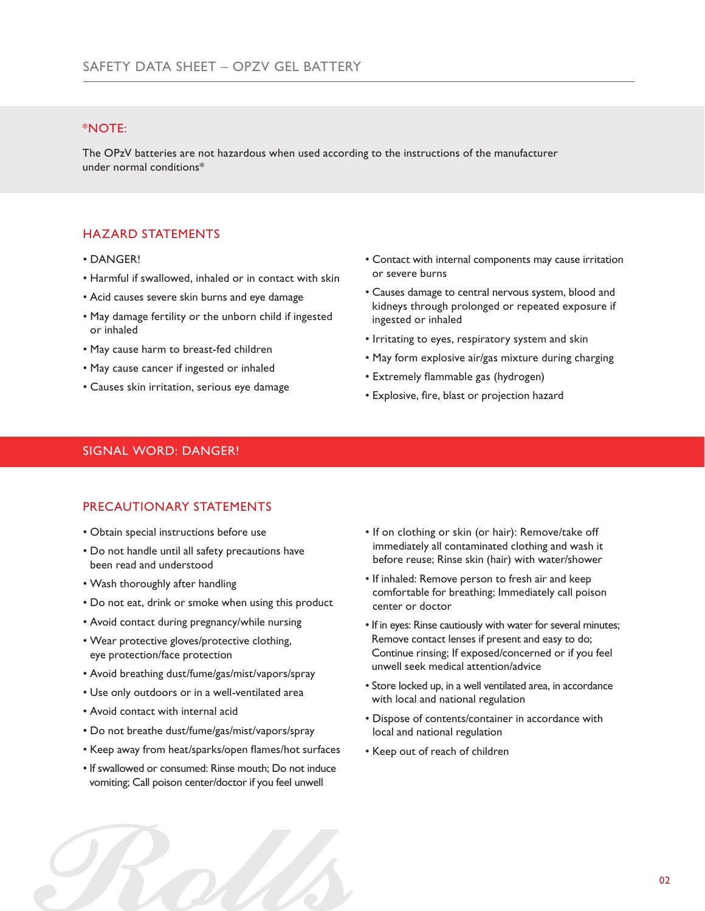### \*NOTE:

The OPzV batteries are not hazardous when used according to the instructions of the manufacturer under normal conditions\*

### HAZARD STATEMENTS

- DANGER!
- Harmful if swallowed, inhaled or in contact with skin
- Acid causes severe skin burns and eye damage
- May damage fertility or the unborn child if ingested or inhaled
- May cause harm to breast-fed children
- May cause cancer if ingested or inhaled
- Causes skin irritation, serious eye damage
- Contact with internal components may cause irritation or severe burns
- Causes damage to central nervous system, blood and kidneys through prolonged or repeated exposure if ingested or inhaled
- Irritating to eyes, respiratory system and skin
- May form explosive air/gas mixture during charging
- Extremely flammable gas (hydrogen)
- Explosive, fire, blast or projection hazard

### SIGNAL WORD: DANGER!

### PRECAUTIONARY STATEMENTS

- Obtain special instructions before use
- Do not handle until all safety precautions have been read and understood
- Wash thoroughly after handling
- Do not eat, drink or smoke when using this product
- Avoid contact during pregnancy/while nursing
- Wear protective gloves/protective clothing, eye protection/face protection
- Avoid breathing dust/fume/gas/mist/vapors/spray
- Use only outdoors or in a well-ventilated area
- Avoid contact with internal acid
- Do not breathe dust/fume/gas/mist/vapors/spray
- Keep away from heat/sparks/open flames/hot surfaces
- If swallowed or consumed: Rinse mouth; Do not induce vomiting; Call poison center/doctor if you feel unwell
- If on clothing or skin (or hair): Remove/take off immediately all contaminated clothing and wash it before reuse; Rinse skin (hair) with water/shower
- If inhaled: Remove person to fresh air and keep comfortable for breathing; Immediately call poison center or doctor
- If in eyes: Rinse cautiously with water for several minutes; Remove contact lenses if present and easy to do; Continue rinsing; If exposed/concerned or if you feel unwell seek medical attention/advice
- Store locked up, in a well ventilated area, in accordance with local and national regulation
- Dispose of contents/container in accordance with local and national regulation
- Keep out of reach of children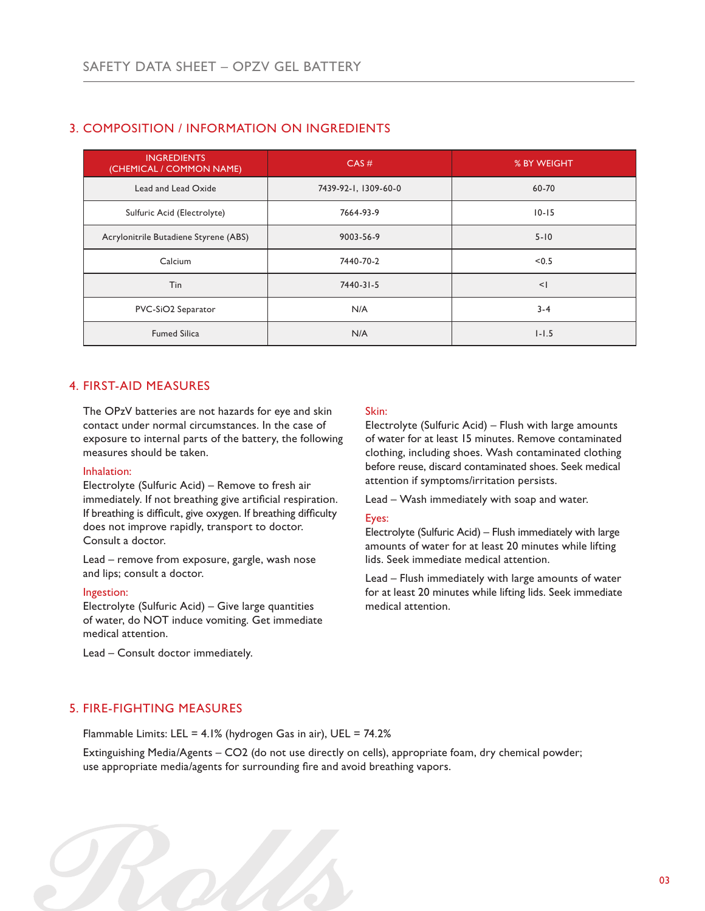# 3. COMPOSITION / INFORMATION ON INGREDIENTS

| <b>INGREDIENTS</b><br>(CHEMICAL / COMMON NAME) | CAS#                 | % BY WEIGHT |
|------------------------------------------------|----------------------|-------------|
| Lead and Lead Oxide                            | 7439-92-1, 1309-60-0 | 60-70       |
| Sulfuric Acid (Electrolyte)                    | 7664-93-9            | $10 - 15$   |
| Acrylonitrile Butadiene Styrene (ABS)          | $9003 - 56 - 9$      | $5 - 10$    |
| Calcium                                        | 7440-70-2            | < 0.5       |
| Tin                                            | $7440 - 31 - 5$      | $\leq$      |
| PVC-SiO2 Separator                             | N/A                  | $3 - 4$     |
| <b>Fumed Silica</b>                            | N/A                  | $1 - 1.5$   |

# 4. FIRST-AID MEASURES

The OPzV batteries are not hazards for eye and skin contact under normal circumstances. In the case of exposure to internal parts of the battery, the following measures should be taken.

### Inhalation:

Electrolyte (Sulfuric Acid) – Remove to fresh air immediately. If not breathing give artificial respiration. If breathing is difficult, give oxygen. If breathing difficulty does not improve rapidly, transport to doctor. Consult a doctor.

Lead – remove from exposure, gargle, wash nose and lips; consult a doctor.

### Ingestion:

Electrolyte (Sulfuric Acid) – Give large quantities of water, do NOT induce vomiting. Get immediate medical attention.

Lead – Consult doctor immediately.

### Skin:

Electrolyte (Sulfuric Acid) – Flush with large amounts of water for at least 15 minutes. Remove contaminated clothing, including shoes. Wash contaminated clothing before reuse, discard contaminated shoes. Seek medical attention if symptoms/irritation persists.

Lead – Wash immediately with soap and water.

### Eyes:

Electrolyte (Sulfuric Acid) – Flush immediately with large amounts of water for at least 20 minutes while lifting lids. Seek immediate medical attention.

Lead – Flush immediately with large amounts of water for at least 20 minutes while lifting lids. Seek immediate medical attention.

### 5. FIRE-FIGHTING MEASURES

Flammable Limits: LEL = 4.1% (hydrogen Gas in air), UEL = 74.2%

Extinguishing Media/Agents – CO2 (do not use directly on cells), appropriate foam, dry chemical powder; use appropriate media/agents for surrounding fire and avoid breathing vapors.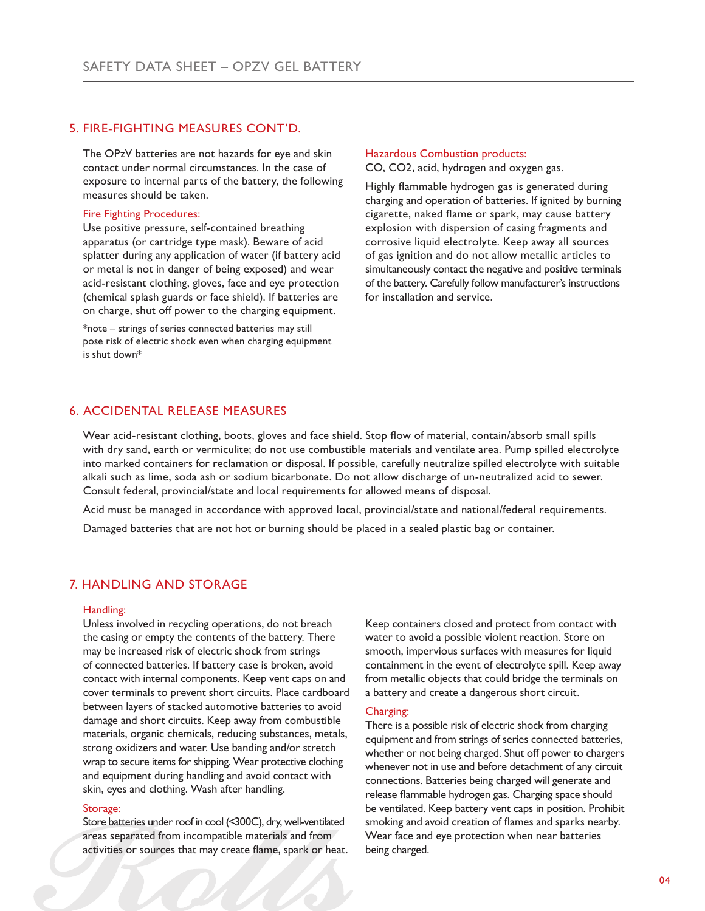## 5. FIRE-FIGHTING MEASURES CONT'D.

The OPzV batteries are not hazards for eye and skin contact under normal circumstances. In the case of exposure to internal parts of the battery, the following measures should be taken.

#### Fire Fighting Procedures:

Use positive pressure, self-contained breathing apparatus (or cartridge type mask). Beware of acid splatter during any application of water (if battery acid or metal is not in danger of being exposed) and wear acid-resistant clothing, gloves, face and eye protection (chemical splash guards or face shield). If batteries are on charge, shut off power to the charging equipment.

\*note – strings of series connected batteries may still pose risk of electric shock even when charging equipment is shut down\*

# Hazardous Combustion products:

CO, CO2, acid, hydrogen and oxygen gas.

Highly flammable hydrogen gas is generated during charging and operation of batteries. If ignited by burning cigarette, naked flame or spark, may cause battery explosion with dispersion of casing fragments and corrosive liquid electrolyte. Keep away all sources of gas ignition and do not allow metallic articles to simultaneously contact the negative and positive terminals of the battery. Carefully follow manufacturer's instructions for installation and service.

# 6. ACCIDENTAL RELEASE MEASURES

Wear acid-resistant clothing, boots, gloves and face shield. Stop flow of material, contain/absorb small spills with dry sand, earth or vermiculite; do not use combustible materials and ventilate area. Pump spilled electrolyte into marked containers for reclamation or disposal. If possible, carefully neutralize spilled electrolyte with suitable alkali such as lime, soda ash or sodium bicarbonate. Do not allow discharge of un-neutralized acid to sewer. Consult federal, provincial/state and local requirements for allowed means of disposal.

Acid must be managed in accordance with approved local, provincial/state and national/federal requirements.

Damaged batteries that are not hot or burning should be placed in a sealed plastic bag or container.

### 7. HANDLING AND STORAGE

#### Handling:

Unless involved in recycling operations, do not breach the casing or empty the contents of the battery. There may be increased risk of electric shock from strings of connected batteries. If battery case is broken, avoid contact with internal components. Keep vent caps on and cover terminals to prevent short circuits. Place cardboard between layers of stacked automotive batteries to avoid damage and short circuits. Keep away from combustible materials, organic chemicals, reducing substances, metals, strong oxidizers and water. Use banding and/or stretch wrap to secure items for shipping. Wear protective clothing and equipment during handling and avoid contact with skin, eyes and clothing. Wash after handling.

#### Storage:

Store batteries under roof in cool (<300C), dry, well-ventilated areas separated from incompatible materials and from activities or sources that may create flame, spark or heat.

Keep containers closed and protect from contact with water to avoid a possible violent reaction. Store on smooth, impervious surfaces with measures for liquid containment in the event of electrolyte spill. Keep away from metallic objects that could bridge the terminals on a battery and create a dangerous short circuit.

#### Charging:

There is a possible risk of electric shock from charging equipment and from strings of series connected batteries, whether or not being charged. Shut off power to chargers whenever not in use and before detachment of any circuit connections. Batteries being charged will generate and release flammable hydrogen gas. Charging space should be ventilated. Keep battery vent caps in position. Prohibit smoking and avoid creation of flames and sparks nearby. Wear face and eye protection when near batteries being charged.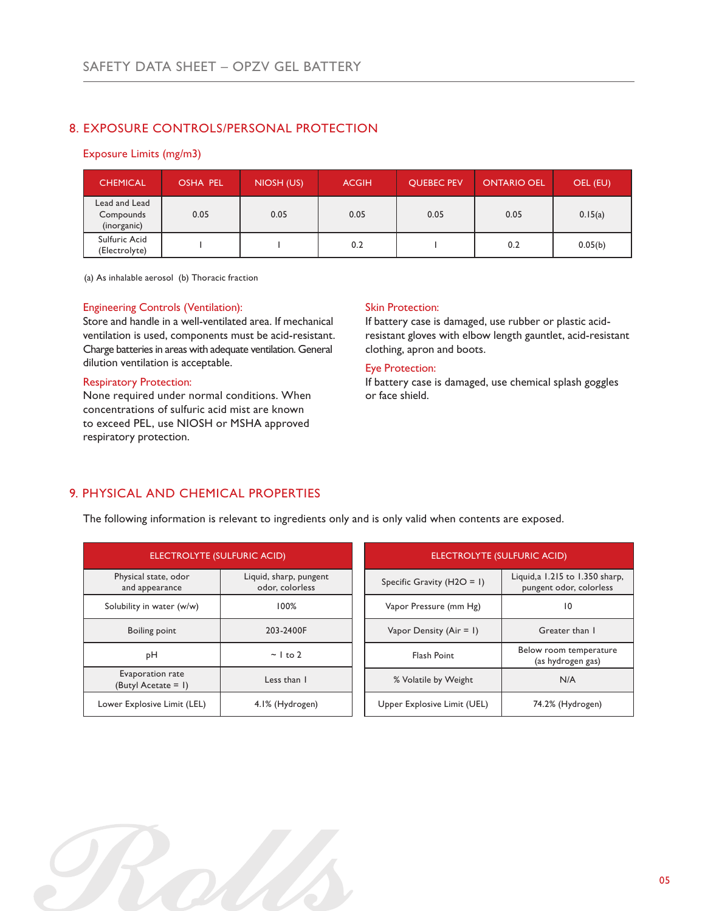# 8. EXPOSURE CONTROLS/PERSONAL PROTECTION

### Exposure Limits (mg/m3)

| <b>CHEMICAL</b>                           | <b>OSHA PEL</b> | NIOSH (US) | <b>ACGIH</b> | <b>OUEBEC PEV</b> | <b>ONTARIO OEL</b> | OEL (EU) |
|-------------------------------------------|-----------------|------------|--------------|-------------------|--------------------|----------|
| Lead and Lead<br>Compounds<br>(inorganic) | 0.05            | 0.05       | 0.05         | 0.05              | 0.05               | 0.15(a)  |
| Sulfuric Acid<br>(Electrolyte)            |                 |            | 0.2          |                   | 0.2                | 0.05(b)  |

(a) As inhalable aerosol (b) Thoracic fraction

### Engineering Controls (Ventilation):

Store and handle in a well-ventilated area. If mechanical ventilation is used, components must be acid-resistant. Charge batteries in areas with adequate ventilation. General dilution ventilation is acceptable.

#### Respiratory Protection:

None required under normal conditions. When concentrations of sulfuric acid mist are known to exceed PEL, use NIOSH or MSHA approved respiratory protection.

### Skin Protection:

If battery case is damaged, use rubber or plastic acidresistant gloves with elbow length gauntlet, acid-resistant clothing, apron and boots.

### Eye Protection:

If battery case is damaged, use chemical splash goggles or face shield.

# 9. PHYSICAL AND CHEMICAL PROPERTIES

The following information is relevant to ingredients only and is only valid when contents are exposed.

| <b>ELECTROLYTE (SULFURIC ACID)</b>         |                                           |  |
|--------------------------------------------|-------------------------------------------|--|
| Physical state, odor<br>and appearance     | Liquid, sharp, pungent<br>odor, colorless |  |
| Solubility in water (w/w)                  | 100%                                      |  |
| Boiling point                              | 203-2400F                                 |  |
| pН                                         | $\sim$ 1 to 2                             |  |
| Evaporation rate<br>(Butyl Acetate $= 1$ ) | Less than I                               |  |
| Lower Explosive Limit (LEL)                | 4.1% (Hydrogen)                           |  |

| ELECTROLYTE (SULFURIC ACID) |                                                            |  |
|-----------------------------|------------------------------------------------------------|--|
| Specific Gravity (H2O = 1)  | Liguid, a 1.215 to 1.350 sharp,<br>pungent odor, colorless |  |
| Vapor Pressure (mm Hg)      | 10                                                         |  |
| Vapor Density (Air = 1)     | Greater than I                                             |  |
| <b>Flash Point</b>          | Below room temperature<br>(as hydrogen gas)                |  |
| % Volatile by Weight        | N/A                                                        |  |
| Upper Explosive Limit (UEL) | 74.2% (Hydrogen)                                           |  |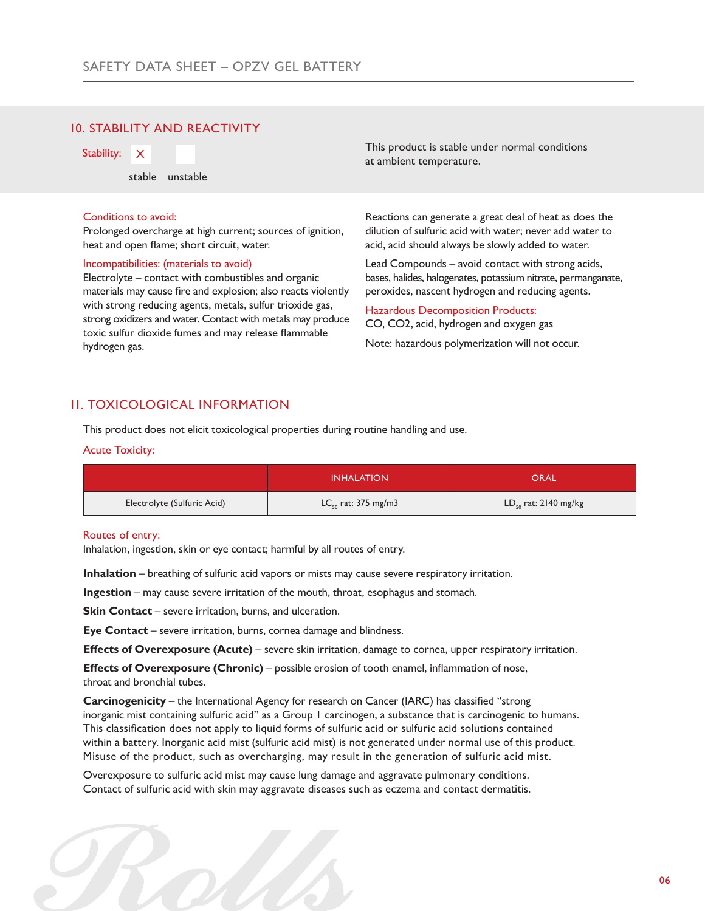# 10. STABILITY AND REACTIVITY

stable unstable

#### Conditions to avoid:

Prolonged overcharge at high current; sources of ignition, heat and open flame; short circuit, water.

#### Incompatibilities: (materials to avoid)

Electrolyte – contact with combustibles and organic materials may cause fire and explosion; also reacts violently with strong reducing agents, metals, sulfur trioxide gas, strong oxidizers and water. Contact with metals may produce toxic sulfur dioxide fumes and may release flammable hydrogen gas.

This product is stable under normal conditions Stability: X at a more contract that a stability: X at a more contract temperature.

> Reactions can generate a great deal of heat as does the dilution of sulfuric acid with water; never add water to acid, acid should always be slowly added to water.

Lead Compounds – avoid contact with strong acids, bases, halides, halogenates, potassium nitrate, permanganate, peroxides, nascent hydrogen and reducing agents.

# Hazardous Decomposition Products:

CO, CO2, acid, hydrogen and oxygen gas

Note: hazardous polymerization will not occur.

# 11. TOXICOLOGICAL INFORMATION

This product does not elicit toxicological properties during routine handling and use.

### Acute Toxicity:

|                             | <b>INHALATION</b>        | ORAL                      |
|-----------------------------|--------------------------|---------------------------|
| Electrolyte (Sulfuric Acid) | $LC_{50}$ rat: 375 mg/m3 | $LD_{50}$ rat: 2140 mg/kg |

#### Routes of entry:

Inhalation, ingestion, skin or eye contact; harmful by all routes of entry.

**Inhalation** – breathing of sulfuric acid vapors or mists may cause severe respiratory irritation.

**Ingestion** – may cause severe irritation of the mouth, throat, esophagus and stomach.

**Skin Contact** – severe irritation, burns, and ulceration.

**Eye Contact** – severe irritation, burns, cornea damage and blindness.

**Effects of Overexposure (Acute)** – severe skin irritation, damage to cornea, upper respiratory irritation.

**Effects of Overexposure (Chronic)** – possible erosion of tooth enamel, inflammation of nose, throat and bronchial tubes.

**Carcinogenicity** – the International Agency for research on Cancer (IARC) has classified "strong inorganic mist containing sulfuric acid" as a Group 1 carcinogen, a substance that is carcinogenic to humans. This classification does not apply to liquid forms of sulfuric acid or sulfuric acid solutions contained within a battery. Inorganic acid mist (sulfuric acid mist) is not generated under normal use of this product. Misuse of the product, such as overcharging, may result in the generation of sulfuric acid mist.

Overexposure to sulfuric acid mist may cause lung damage and aggravate pulmonary conditions. Contact of sulfuric acid with skin may aggravate diseases such as eczema and contact dermatitis.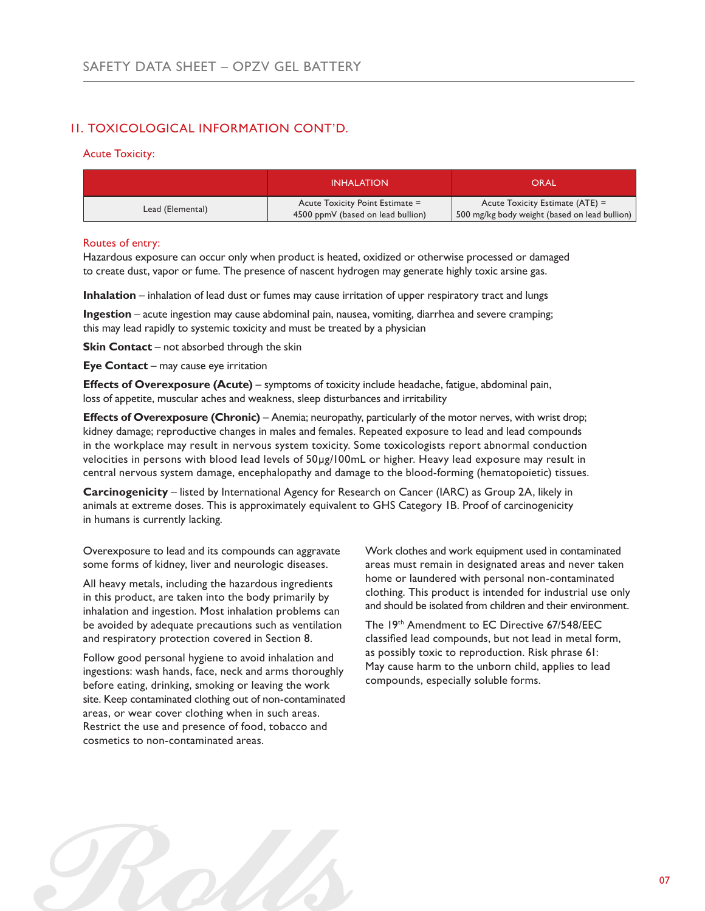# 11. TOXICOLOGICAL INFORMATION CONT'D.

### Acute Toxicity:

|                  | <b>INHALATION</b>                                                    | ORAL                                                                               |
|------------------|----------------------------------------------------------------------|------------------------------------------------------------------------------------|
| Lead (Elemental) | Acute Toxicity Point Estimate =<br>4500 ppmV (based on lead bullion) | Acute Toxicity Estimate $(ATE) =$<br>500 mg/kg body weight (based on lead bullion) |

### Routes of entry:

Hazardous exposure can occur only when product is heated, oxidized or otherwise processed or damaged to create dust, vapor or fume. The presence of nascent hydrogen may generate highly toxic arsine gas.

**Inhalation** – inhalation of lead dust or fumes may cause irritation of upper respiratory tract and lungs

**Ingestion** – acute ingestion may cause abdominal pain, nausea, vomiting, diarrhea and severe cramping; this may lead rapidly to systemic toxicity and must be treated by a physician

**Skin Contact** – not absorbed through the skin

**Eye Contact** – may cause eye irritation

**Effects of Overexposure (Acute)** – symptoms of toxicity include headache, fatigue, abdominal pain, loss of appetite, muscular aches and weakness, sleep disturbances and irritability

**Effects of Overexposure (Chronic)** – Anemia; neuropathy, particularly of the motor nerves, with wrist drop; kidney damage; reproductive changes in males and females. Repeated exposure to lead and lead compounds in the workplace may result in nervous system toxicity. Some toxicologists report abnormal conduction velocities in persons with blood lead levels of 50µg/100mL or higher. Heavy lead exposure may result in central nervous system damage, encephalopathy and damage to the blood-forming (hematopoietic) tissues.

**Carcinogenicity** – listed by International Agency for Research on Cancer (IARC) as Group 2A, likely in animals at extreme doses. This is approximately equivalent to GHS Category 1B. Proof of carcinogenicity in humans is currently lacking.

Overexposure to lead and its compounds can aggravate some forms of kidney, liver and neurologic diseases.

All heavy metals, including the hazardous ingredients in this product, are taken into the body primarily by inhalation and ingestion. Most inhalation problems can be avoided by adequate precautions such as ventilation and respiratory protection covered in Section 8.

Follow good personal hygiene to avoid inhalation and ingestions: wash hands, face, neck and arms thoroughly before eating, drinking, smoking or leaving the work site. Keep contaminated clothing out of non-contaminated areas, or wear cover clothing when in such areas. Restrict the use and presence of food, tobacco and cosmetics to non-contaminated areas.

Work clothes and work equipment used in contaminated areas must remain in designated areas and never taken home or laundered with personal non-contaminated clothing. This product is intended for industrial use only and should be isolated from children and their environment.

The 19th Amendment to EC Directive 67/548/EEC classified lead compounds, but not lead in metal form, as possibly toxic to reproduction. Risk phrase 61: May cause harm to the unborn child, applies to lead compounds, especially soluble forms.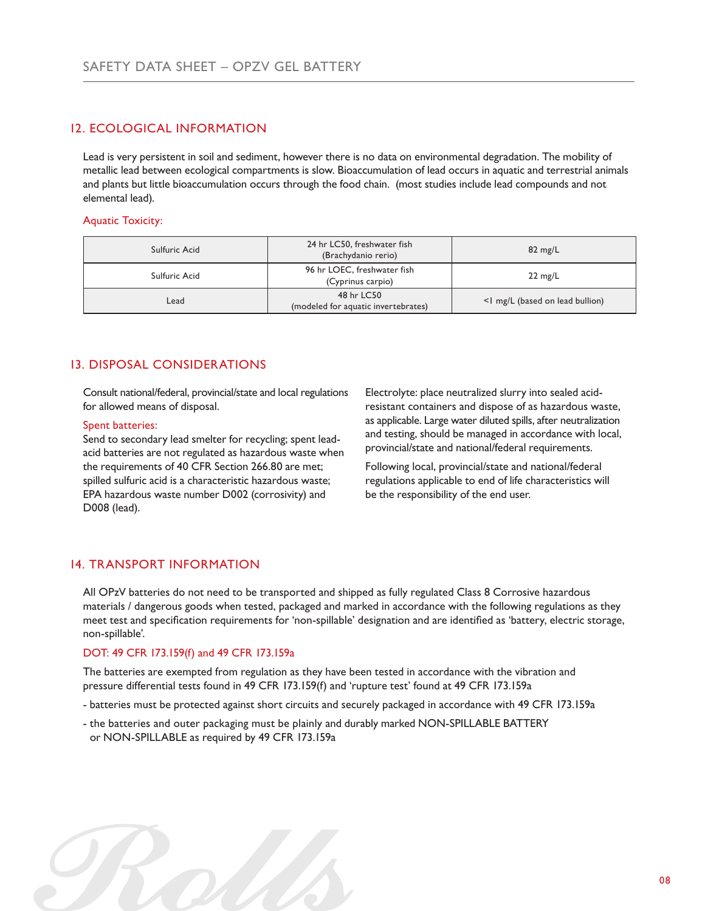# 12. ECOLOGICAL INFORMATION

Lead is very persistent in soil and sediment, however there is no data on environmental degradation. The mobility of metallic lead between ecological compartments is slow. Bioaccumulation of lead occurs in aquatic and terrestrial animals and plants but little bioaccumulation occurs through the food chain. (most studies include lead compounds and not elemental lead).

### Aquatic Toxicity:

| Sulfuric Acid | 24 hr LC50, freshwater fish<br>(Brachydanio rerio) | $82 \text{ mg/L}$               |
|---------------|----------------------------------------------------|---------------------------------|
| Sulfuric Acid | 96 hr LOEC, freshwater fish<br>(Cyprinus carpio)   | $22 \text{ mg/L}$               |
| Lead          | 48 hr LC50<br>(modeled for aquatic invertebrates)  | <1 mg/L (based on lead bullion) |

## 13. DISPOSAL CONSIDERATIONS

Consult national/federal, provincial/state and local regulations for allowed means of disposal.

### Spent batteries:

Send to secondary lead smelter for recycling; spent leadacid batteries are not regulated as hazardous waste when the requirements of 40 CFR Section 266.80 are met; spilled sulfuric acid is a characteristic hazardous waste; EPA hazardous waste number D002 (corrosivity) and D008 (lead).

Electrolyte: place neutralized slurry into sealed acidresistant containers and dispose of as hazardous waste, as applicable. Large water diluted spills, after neutralization and testing, should be managed in accordance with local, provincial/state and national/federal requirements.

Following local, provincial/state and national/federal regulations applicable to end of life characteristics will be the responsibility of the end user.

## 14. TRANSPORT INFORMATION

All OPzV batteries do not need to be transported and shipped as fully regulated Class 8 Corrosive hazardous materials / dangerous goods when tested, packaged and marked in accordance with the following regulations as they meet test and specification requirements for 'non-spillable' designation and are identified as 'battery, electric storage, non-spillable'.

### DOT: 49 CFR 173.159(f) and 49 CFR 173.159a

The batteries are exempted from regulation as they have been tested in accordance with the vibration and pressure differential tests found in 49 CFR 173.159(f) and 'rupture test' found at 49 CFR 173.159a

- batteries must be protected against short circuits and securely packaged in accordance with 49 CFR 173.159a
- the batteries and outer packaging must be plainly and durably marked NON-SPILLABLE BATTERY or NON-SPILLABLE as required by 49 CFR 173.159a

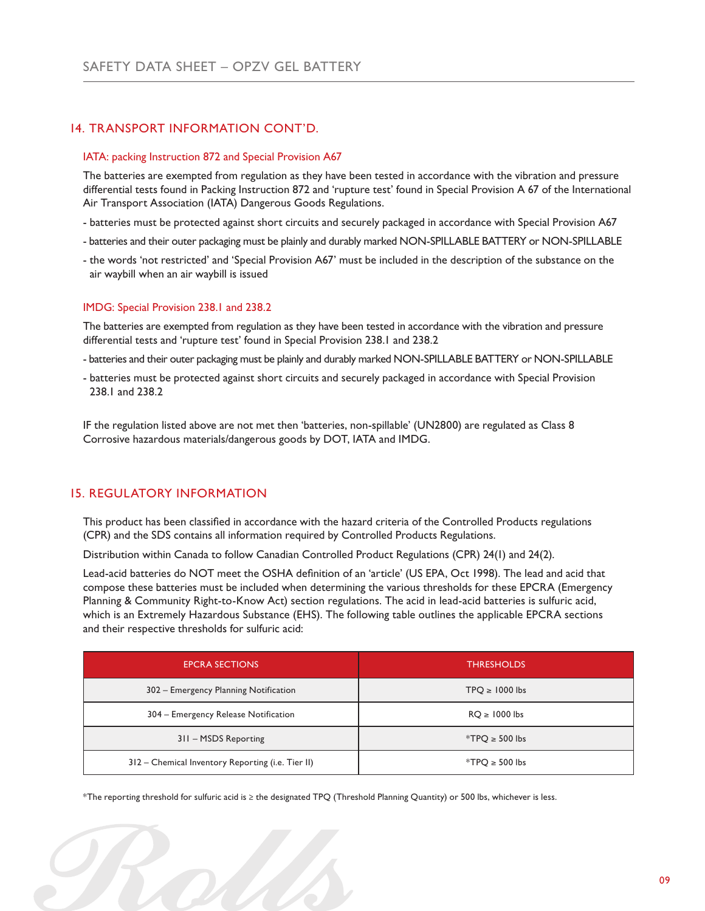# 14. TRANSPORT INFORMATION CONT'D.

#### IATA: packing Instruction 872 and Special Provision A67

The batteries are exempted from regulation as they have been tested in accordance with the vibration and pressure differential tests found in Packing Instruction 872 and 'rupture test' found in Special Provision A 67 of the International Air Transport Association (IATA) Dangerous Goods Regulations.

- batteries must be protected against short circuits and securely packaged in accordance with Special Provision A67
- batteries and their outer packaging must be plainly and durably marked NON-SPILLABLE BATTERY or NON-SPILLABLE
- the words 'not restricted' and 'Special Provision A67' must be included in the description of the substance on the air waybill when an air waybill is issued

### IMDG: Special Provision 238.1 and 238.2

The batteries are exempted from regulation as they have been tested in accordance with the vibration and pressure differential tests and 'rupture test' found in Special Provision 238.1 and 238.2

- batteries and their outer packaging must be plainly and durably marked NON-SPILLABLE BATTERY or NON-SPILLABLE
- batteries must be protected against short circuits and securely packaged in accordance with Special Provision 238.1 and 238.2

IF the regulation listed above are not met then 'batteries, non-spillable' (UN2800) are regulated as Class 8 Corrosive hazardous materials/dangerous goods by DOT, IATA and IMDG.

### 15. REGULATORY INFORMATION

This product has been classified in accordance with the hazard criteria of the Controlled Products regulations (CPR) and the SDS contains all information required by Controlled Products Regulations.

Distribution within Canada to follow Canadian Controlled Product Regulations (CPR) 24(1) and 24(2).

Lead-acid batteries do NOT meet the OSHA definition of an 'article' (US EPA, Oct 1998). The lead and acid that compose these batteries must be included when determining the various thresholds for these EPCRA (Emergency Planning & Community Right-to-Know Act) section regulations. The acid in lead-acid batteries is sulfuric acid, which is an Extremely Hazardous Substance (EHS). The following table outlines the applicable EPCRA sections and their respective thresholds for sulfuric acid:

| <b>EPCRA SECTIONS</b>                             | <b>THRESHOLDS</b>  |
|---------------------------------------------------|--------------------|
| 302 – Emergency Planning Notification             | $TPQ \ge 1000$ lbs |
| 304 – Emergency Release Notification              | $RQ \ge 1000$ lbs  |
| 311 - MSDS Reporting                              | $*TPQ \ge 500$ lbs |
| 312 - Chemical Inventory Reporting (i.e. Tier II) | $*TPQ \ge 500$ lbs |

\* The reporting threshold for sulfuric acid is ≥ the designated TPQ (Threshold Planning Quantity) or 500 lbs, whichever is less.